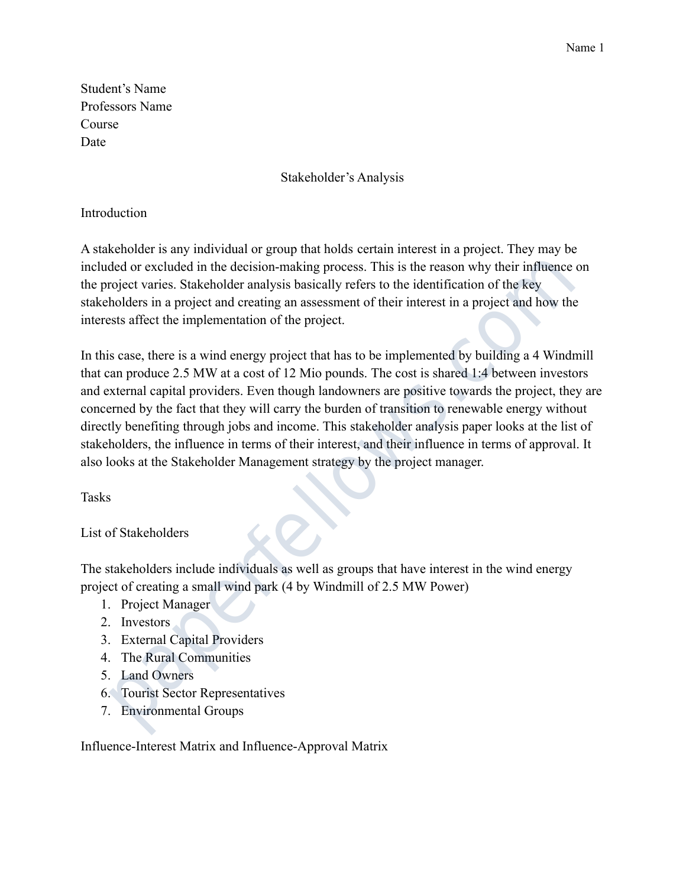Student's Name Professors Name Course Date

## Stakeholder's Analysis

## **Introduction**

A stakeholder is any individual or group that holds certain interest in a project. They may be included or excluded in the decision-making process. This is the reason why their influence on the project varies. Stakeholder analysis basically refers to the identification of the key stakeholders in a project and creating an assessment of their interest in a project and how the interests affect the implementation of the project.

In this case, there is a wind energy project that has to be implemented by building a 4 Windmill that can produce 2.5 MW at a cost of 12 Mio pounds. The cost is shared 1:4 between investors and external capital providers. Even though landowners are positive towards the project, they are concerned by the fact that they will carry the burden of transition to renewable energy without directly benefiting through jobs and income. This stakeholder analysis paper looks at the list of stakeholders, the influence in terms of their interest, and their influence in terms of approval. It also looks at the Stakeholder Management strategy by the project manager. ded or excluded in the decision-making process. This is the reason why their influence<br>roject varies. Stakeholder analysis basically refers to the identification of the key<br>holders in a project and creating an assessment o

Tasks

## List of Stakeholders

The stakeholders include individuals as well as groups that have interest in the wind energy project of creating a small wind park (4 by Windmill of 2.5 MW Power)

- 1. Project Manager
- 2. Investors
- 3. External Capital Providers
- 4. The Rural Communities
- 5. Land Owners
- 6. Tourist Sector Representatives
- 7. Environmental Groups

Influence-Interest Matrix and Influence-Approval Matrix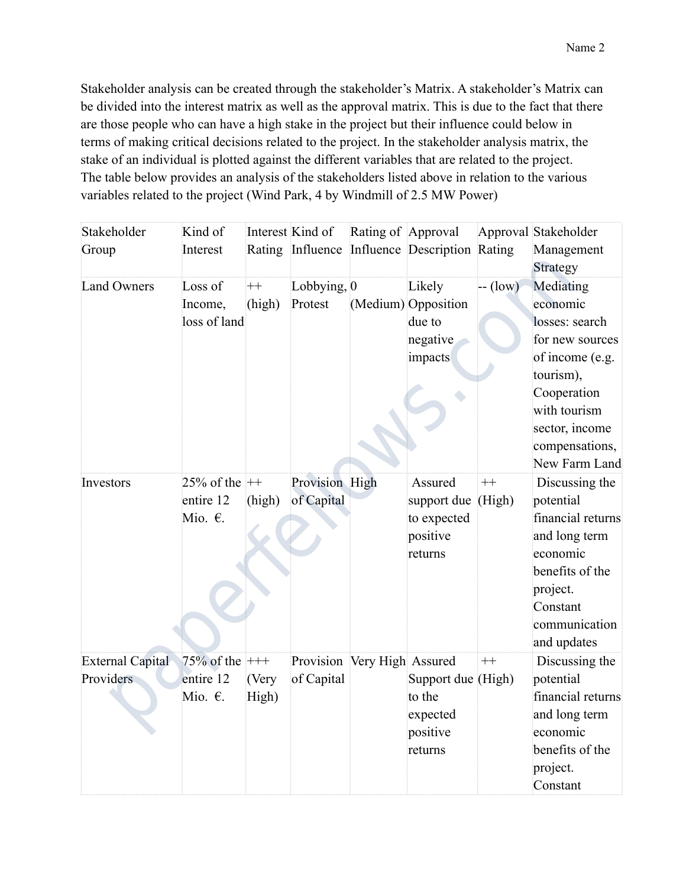Stakeholder analysis can be created through the stakeholder's Matrix. A stakeholder's Matrix can be divided into the interest matrix as well as the approval matrix. This is due to the fact that there are those people who can have a high stake in the project but their influence could below in terms of making critical decisions related to the project. In the stakeholder analysis matrix, the stake of an individual is plotted against the different variables that are related to the project. The table below provides an analysis of the stakeholders listed above in relation to the various variables related to the project (Wind Park, 4 by Windmill of 2.5 MW Power)

| Stakeholder             | Kind of             |         | Interest Kind of            | Rating of Approval |                                               |           | Approval Stakeholder   |
|-------------------------|---------------------|---------|-----------------------------|--------------------|-----------------------------------------------|-----------|------------------------|
| Group                   | Interest            |         |                             |                    | Rating Influence Influence Description Rating |           | Management<br>Strategy |
| <b>Land Owners</b>      | Loss of             | $_{++}$ | Lobbying, 0                 |                    | Likely                                        | $-$ (low) | Mediating              |
|                         | Income,             | (high)  | Protest                     |                    | (Medium) Opposition                           |           | economic               |
|                         | loss of land        |         |                             |                    | due to                                        |           | losses: search         |
|                         |                     |         |                             |                    | negative                                      |           | for new sources        |
|                         |                     |         |                             |                    | impacts                                       |           | of income (e.g.        |
|                         |                     |         |                             |                    |                                               |           | tourism),              |
|                         |                     |         |                             |                    |                                               |           | Cooperation            |
|                         |                     |         |                             |                    |                                               |           | with tourism           |
|                         |                     |         |                             |                    |                                               |           | sector, income         |
|                         |                     |         |                             |                    |                                               |           | compensations,         |
|                         |                     |         |                             |                    |                                               |           | New Farm Land          |
| Investors               | 25% of the $++$     |         | Provision High              |                    | Assured                                       | $^{++}$   | Discussing the         |
|                         | entire 12           | (high)  | of Capital                  |                    | support due                                   | (High)    | potential              |
|                         | Mio. $\epsilon$ .   |         |                             |                    | to expected                                   |           | financial returns      |
|                         |                     |         |                             |                    | positive                                      |           | and long term          |
|                         |                     |         |                             |                    | returns                                       |           | economic               |
|                         |                     |         |                             |                    |                                               |           | benefits of the        |
|                         |                     |         |                             |                    |                                               |           | project.               |
|                         |                     |         |                             |                    |                                               |           | Constant               |
|                         |                     |         |                             |                    |                                               |           | communication          |
|                         |                     |         |                             |                    |                                               |           | and updates            |
| <b>External Capital</b> | $75\%$ of the $+++$ |         | Provision Very High Assured |                    |                                               | $^{++}$   | Discussing the         |
| Providers               | entire 12           | (Very   | of Capital                  |                    | Support due (High)                            |           | potential              |
|                         | Mio. $\epsilon$ .   | High)   |                             |                    | to the                                        |           | financial returns      |
|                         |                     |         |                             |                    | expected                                      |           | and long term          |
|                         |                     |         |                             |                    | positive                                      |           | economic               |
|                         |                     |         |                             |                    | returns                                       |           | benefits of the        |
|                         |                     |         |                             |                    |                                               |           | project.               |
|                         |                     |         |                             |                    |                                               |           | Constant               |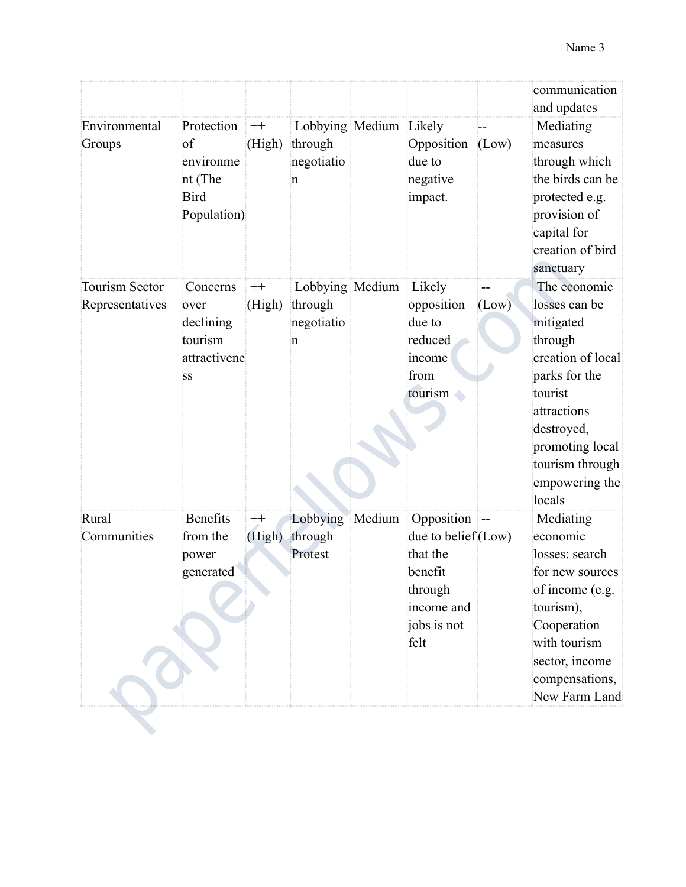|                                          |                                                                        |                   |                                                      |        |                                                                                                          |       | communication<br>and updates                                                                                                                                                                          |
|------------------------------------------|------------------------------------------------------------------------|-------------------|------------------------------------------------------|--------|----------------------------------------------------------------------------------------------------------|-------|-------------------------------------------------------------------------------------------------------------------------------------------------------------------------------------------------------|
| Environmental<br>Groups                  | Protection<br>of<br>environme<br>nt (The<br><b>Bird</b><br>Population) | $++$<br>(High)    | Lobbying Medium Likely<br>through<br>negotiatio<br>n |        | Opposition<br>due to<br>negative<br>impact.                                                              | (Low) | Mediating<br>measures<br>through which<br>the birds can be<br>protected e.g.<br>provision of<br>capital for<br>creation of bird<br>sanctuary                                                          |
| <b>Tourism Sector</b><br>Representatives | Concerns<br>over<br>declining<br>tourism<br>attractivene<br>SS         | $^{++}$<br>(High) | Lobbying Medium<br>through<br>negotiatio<br>n        |        | Likely<br>opposition<br>due to<br>reduced<br>income<br>from<br>tourism<br>$\blacksquare$                 | (Low) | The economic<br>losses can be<br>mitigated<br>through<br>creation of local<br>parks for the<br>tourist<br>attractions<br>destroyed,<br>promoting local<br>tourism through<br>empowering the<br>locals |
| Rural<br>Communities                     | <b>Benefits</b><br>from the<br>power<br>generated                      | $^{++}$<br>(High) | Lobbying<br>through<br>Protest                       | Medium | Opposition<br>due to belief (Low)<br>that the<br>benefit<br>through<br>income and<br>jobs is not<br>felt | j --  | Mediating<br>economic<br>losses: search<br>for new sources<br>of income (e.g.<br>tourism),<br>Cooperation<br>with tourism<br>sector, income<br>compensations,<br>New Farm Land                        |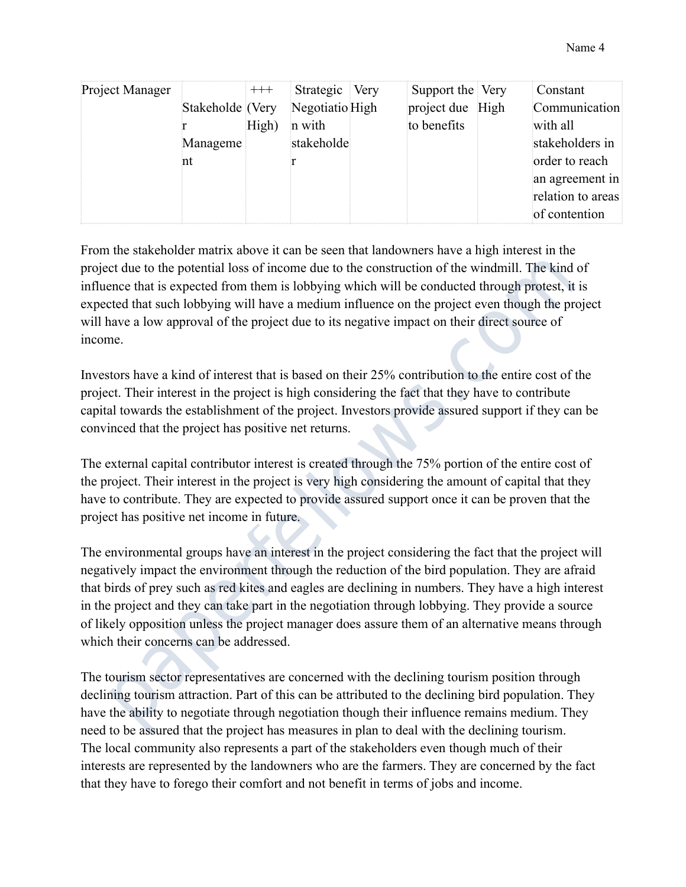| Project Manager |                  | $^{+++}$ | Strategic Very  | Support the Very | Constant          |
|-----------------|------------------|----------|-----------------|------------------|-------------------|
|                 | Stakeholde (Very |          | Negotiatio High | project due High | Communication     |
|                 |                  | High)    | n with          | to benefits      | with all          |
|                 | Manageme         |          | stakeholde      |                  | stakeholders in   |
|                 |                  |          |                 |                  | order to reach    |
|                 |                  |          |                 |                  | an agreement in   |
|                 |                  |          |                 |                  | relation to areas |
|                 |                  |          |                 |                  | of contention     |

From the stakeholder matrix above it can be seen that landowners have a high interest in the project due to the potential loss of income due to the construction of the windmill. The kind of influence that is expected from them is lobbying which will be conducted through protest, it is expected that such lobbying will have a medium influence on the project even though the project will have a low approval of the project due to its negative impact on their direct source of income.

Investors have a kind of interest that is based on their 25% contribution to the entire cost of the project. Their interest in the project is high considering the fact that they have to contribute capital towards the establishment of the project. Investors provide assured support if they can be convinced that the project has positive net returns.

The external capital contributor interest is created through the 75% portion of the entire cost of the project. Their interest in the project is very high considering the amount of capital that they have to contribute. They are expected to provide assured support once it can be proven that the project has positive net income in future.

The environmental groups have an interest in the project considering the fact that the project will negatively impact the environment through the reduction of the bird population. They are afraid that birds of prey such as red kites and eagles are declining in numbers. They have a high interest in the project and they can take part in the negotiation through lobbying. They provide a source of likely opposition unless the project manager does assure them of an alternative means through which their concerns can be addressed. et due to the potential loss of income due to the construction of the windmill. The kind<br>ence that is expected from them is lobbying will be conducted through protest, it<br>eted that such lobbying will have a medium influenc

The tourism sector representatives are concerned with the declining tourism position through declining tourism attraction. Part of this can be attributed to the declining bird population. They have the ability to negotiate through negotiation though their influence remains medium. They need to be assured that the project has measures in plan to deal with the declining tourism. The local community also represents a part of the stakeholders even though much of their interests are represented by the landowners who are the farmers. They are concerned by the fact that they have to forego their comfort and not benefit in terms of jobs and income.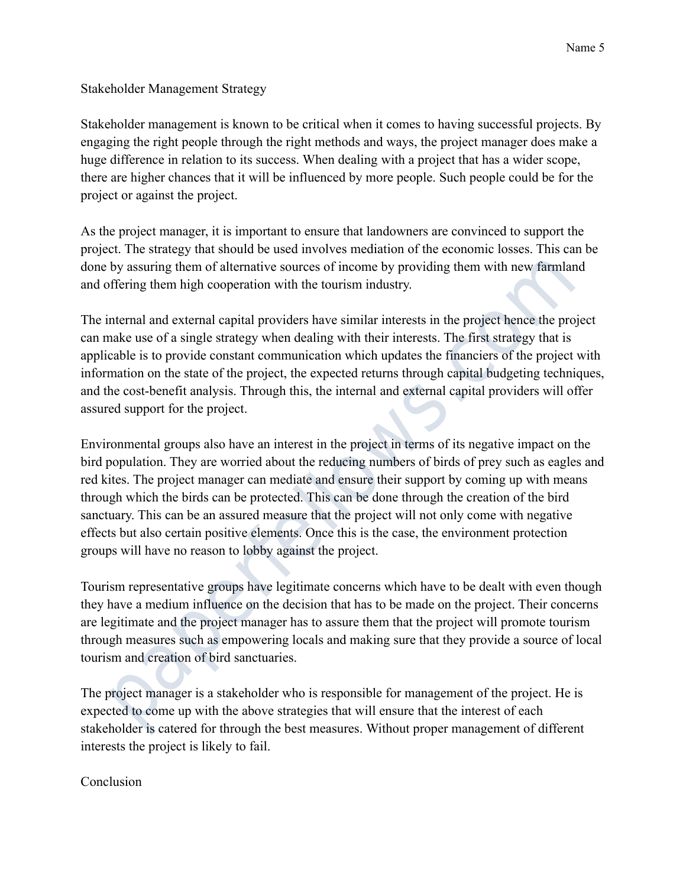Stakeholder Management Strategy

Stakeholder management is known to be critical when it comes to having successful projects. By engaging the right people through the right methods and ways, the project manager does make a huge difference in relation to its success. When dealing with a project that has a wider scope, there are higher chances that it will be influenced by more people. Such people could be for the project or against the project.

As the project manager, it is important to ensure that landowners are convinced to support the project. The strategy that should be used involves mediation of the economic losses. This can be done by assuring them of alternative sources of income by providing them with new farmland and offering them high cooperation with the tourism industry.

The internal and external capital providers have similar interests in the project hence the project can make use of a single strategy when dealing with their interests. The first strategy that is applicable is to provide constant communication which updates the financiers of the project with information on the state of the project, the expected returns through capital budgeting techniques, and the cost-benefit analysis. Through this, the internal and external capital providers will offer assured support for the project.

Environmental groups also have an interest in the project in terms of its negative impact on the bird population. They are worried about the reducing numbers of birds of prey such as eagles and red kites. The project manager can mediate and ensure their support by coming up with means through which the birds can be protected. This can be done through the creation of the bird sanctuary. This can be an assured measure that the project will not only come with negative effects but also certain positive elements. Once this is the case, the environment protection groups will have no reason to lobby against the project. by assuring them of alternative sources of income by providing them with new farmlat<br>offering them high cooperation with the tourism industry.<br>Internal and external capital providers have similar interests in the project h

Tourism representative groups have legitimate concerns which have to be dealt with even though they have a medium influence on the decision that has to be made on the project. Their concerns are legitimate and the project manager has to assure them that the project will promote tourism through measures such as empowering locals and making sure that they provide a source of local tourism and creation of bird sanctuaries.

The project manager is a stakeholder who is responsible for management of the project. He is expected to come up with the above strategies that will ensure that the interest of each stakeholder is catered for through the best measures. Without proper management of different interests the project is likely to fail.

## Conclusion